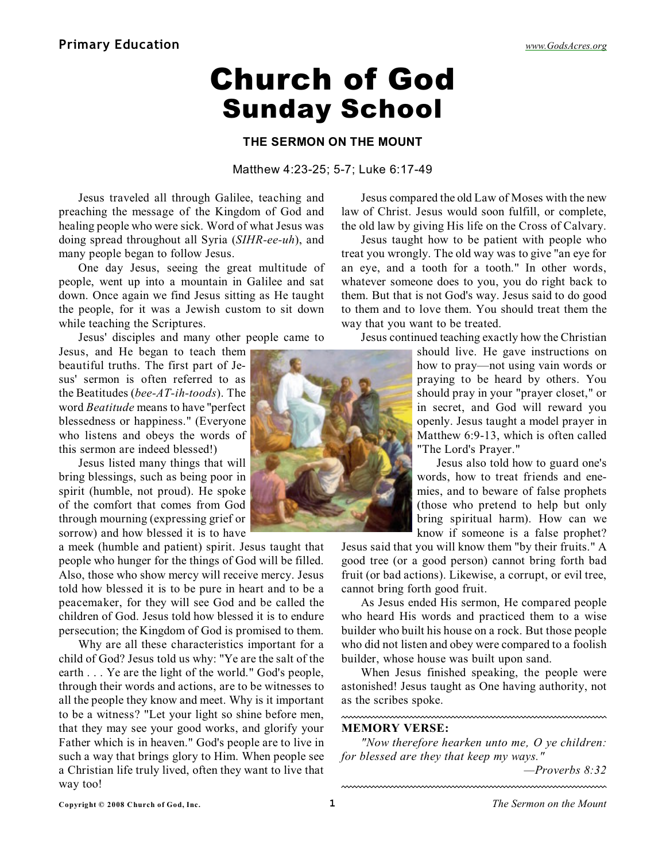# Church of God Sunday School

### **THE SERMON ON THE MOUNT**

#### Matthew 4:23-25; 5-7; Luke 6:17-49

Jesus traveled all through Galilee, teaching and preaching the message of the Kingdom of God and healing people who were sick. Word of what Jesus was doing spread throughout all Syria (*SIHR-ee-uh*), and many people began to follow Jesus.

One day Jesus, seeing the great multitude of people, went up into a mountain in Galilee and sat down. Once again we find Jesus sitting as He taught the people, for it was a Jewish custom to sit down while teaching the Scriptures.

Jesus' disciples and many other people came to

Jesus, and He began to teach them beautiful truths. The first part of Jesus' sermon is often referred to as the Beatitudes (*bee-AT-ih-toods*). The word *Beatitude* means to have "perfect blessedness or happiness." (Everyone who listens and obeys the words of this sermon are indeed blessed!)

Jesus listed many things that will bring blessings, such as being poor in spirit (humble, not proud). He spoke of the comfort that comes from God through mourning (expressing grief or sorrow) and how blessed it is to have

a meek (humble and patient) spirit. Jesus taught that people who hunger for the things of God will be filled. Also, those who show mercy will receive mercy. Jesus told how blessed it is to be pure in heart and to be a peacemaker, for they will see God and be called the children of God. Jesus told how blessed it is to endure persecution; the Kingdom of God is promised to them.

Why are all these characteristics important for a child of God? Jesus told us why: "Ye are the salt of the earth . . . Ye are the light of the world." God's people, through their words and actions, are to be witnesses to all the people they know and meet. Why is it important to be a witness? "Let your light so shine before men, that they may see your good works, and glorify your Father which is in heaven." God's people are to live in such a way that brings glory to Him. When people see a Christian life truly lived, often they want to live that way too!

an eye, and a tooth for a tooth." In other words, whatever someone does to you, you do right back to them. But that is not God's way. Jesus said to do good to them and to love them. You should treat them the way that you want to be treated. Jesus continued teaching exactly how the Christian

Jesus compared the old Law of Moses with the new law of Christ. Jesus would soon fulfill, or complete, the old law by giving His life on the Cross of Calvary. Jesus taught how to be patient with people who treat you wrongly. The old way was to give "an eye for

> should live. He gave instructions on how to pray—not using vain words or praying to be heard by others. You should pray in your "prayer closet," or in secret, and God will reward you openly. Jesus taught a model prayer in Matthew 6:9-13, which is often called "The Lord's Prayer."

> Jesus also told how to guard one's words, how to treat friends and enemies, and to beware of false prophets (those who pretend to help but only bring spiritual harm). How can we know if someone is a false prophet?

Jesus said that you will know them "by their fruits." A good tree (or a good person) cannot bring forth bad fruit (or bad actions). Likewise, a corrupt, or evil tree, cannot bring forth good fruit.

As Jesus ended His sermon, He compared people who heard His words and practiced them to a wise builder who built his house on a rock. But those people who did not listen and obey were compared to a foolish builder, whose house was built upon sand.

When Jesus finished speaking, the people were astonished! Jesus taught as One having authority, not as the scribes spoke.

#### **MEMORY VERSE:**

*"Now therefore hearken unto me, O ye children: for blessed are they that keep my ways."*

*—Proverbs 8:32*

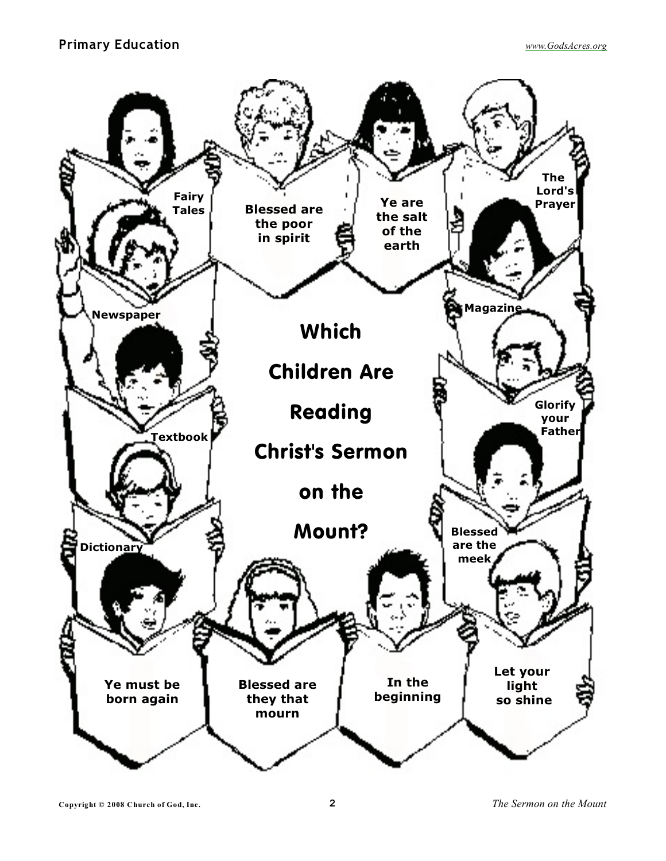